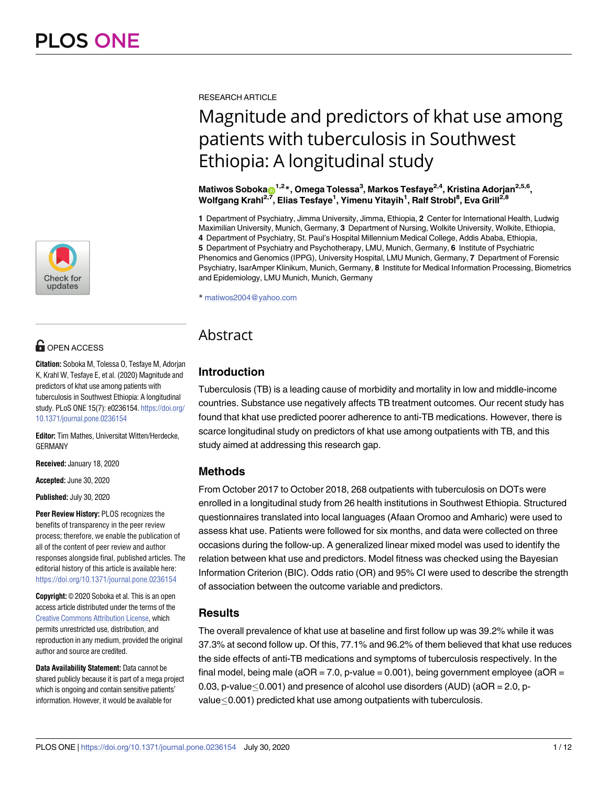

# **OPEN ACCESS**

**Citation:** Soboka M, Tolessa O, Tesfaye M, Adorjan K, Krahl W, Tesfaye E, et al. (2020) Magnitude and predictors of khat use among patients with tuberculosis in Southwest Ethiopia: A longitudinal study. PLoS ONE 15(7): e0236154. [https://doi.org/](https://doi.org/10.1371/journal.pone.0236154) [10.1371/journal.pone.0236154](https://doi.org/10.1371/journal.pone.0236154)

**Editor:** Tim Mathes, Universitat Witten/Herdecke, GERMANY

**Received:** January 18, 2020

**Accepted:** June 30, 2020

**Published:** July 30, 2020

**Peer Review History:** PLOS recognizes the benefits of transparency in the peer review process; therefore, we enable the publication of all of the content of peer review and author responses alongside final, published articles. The editorial history of this article is available here: <https://doi.org/10.1371/journal.pone.0236154>

**Copyright:** © 2020 Soboka et al. This is an open access article distributed under the terms of the Creative Commons [Attribution](http://creativecommons.org/licenses/by/4.0/) License, which permits unrestricted use, distribution, and reproduction in any medium, provided the original author and source are credited.

**Data Availability Statement:** Data cannot be shared publicly because it is part of a mega project which is ongoing and contain sensitive patients' information. However, it would be available for

RESEARCH ARTICLE

# Magnitude and predictors of khat use among patients with tuberculosis in Southwest Ethiopia: A longitudinal study

 $\mathsf{Matrix}$  ,  $\mathsf{Mod}_\mathbf{Q}(\mathsf{Ind}_\mathbf{Z}^\mathbf{1,2*}, \mathsf{Omega}_\mathbf{Z}^\mathbf{1,2*})$  ,  $\mathsf{Mod}_\mathbf{Z}(\mathsf{Ind}_\mathbf{Z}^\mathbf{1,2*}, \mathsf{Omega}_\mathbf{Z}^\mathbf{1,2*})$ **Wolfgang Krahl2,7, Elias Tesfaye1 , Yimenu Yitayih1 , Ralf Strobl8 , Eva Grill2,8**

**1** Department of Psychiatry, Jimma University, Jimma, Ethiopia, **2** Center for International Health, Ludwig Maximilian University, Munich, Germany, **3** Department of Nursing, Wolkite University, Wolkite, Ethiopia, **4** Department of Psychiatry, St. Paul's Hospital Millennium Medical College, Addis Ababa, Ethiopia, **5** Department of Psychiatry and Psychotherapy, LMU, Munich, Germany, **6** Institute of Psychiatric Phenomics and Genomics (IPPG), University Hospital, LMU Munich, Germany, **7** Department of Forensic Psychiatry, IsarAmper Klinikum, Munich, Germany, **8** Institute for Medical Information Processing, Biometrics and Epidemiology, LMU Munich, Munich, Germany

\* matiwos2004@yahoo.com

# **Abstract**

# **Introduction**

Tuberculosis (TB) is a leading cause of morbidity and mortality in low and middle-income countries. Substance use negatively affects TB treatment outcomes. Our recent study has found that khat use predicted poorer adherence to anti-TB medications. However, there is scarce longitudinal study on predictors of khat use among outpatients with TB, and this study aimed at addressing this research gap.

# **Methods**

From October 2017 to October 2018, 268 outpatients with tuberculosis on DOTs were enrolled in a longitudinal study from 26 health institutions in Southwest Ethiopia. Structured questionnaires translated into local languages (Afaan Oromoo and Amharic) were used to assess khat use. Patients were followed for six months, and data were collected on three occasions during the follow-up. A generalized linear mixed model was used to identify the relation between khat use and predictors. Model fitness was checked using the Bayesian Information Criterion (BIC). Odds ratio (OR) and 95% CI were used to describe the strength of association between the outcome variable and predictors.

# **Results**

The overall prevalence of khat use at baseline and first follow up was 39.2% while it was 37.3% at second follow up. Of this, 77.1% and 96.2% of them believed that khat use reduces the side effects of anti-TB medications and symptoms of tuberculosis respectively. In the final model, being male ( $aOR = 7.0$ , p-value = 0.001), being government employee ( $aOR =$ 0.03, p-value $\leq$ 0.001) and presence of alcohol use disorders (AUD) (aOR = 2.0, p $value < 0.001$ ) predicted khat use among outpatients with tuberculosis.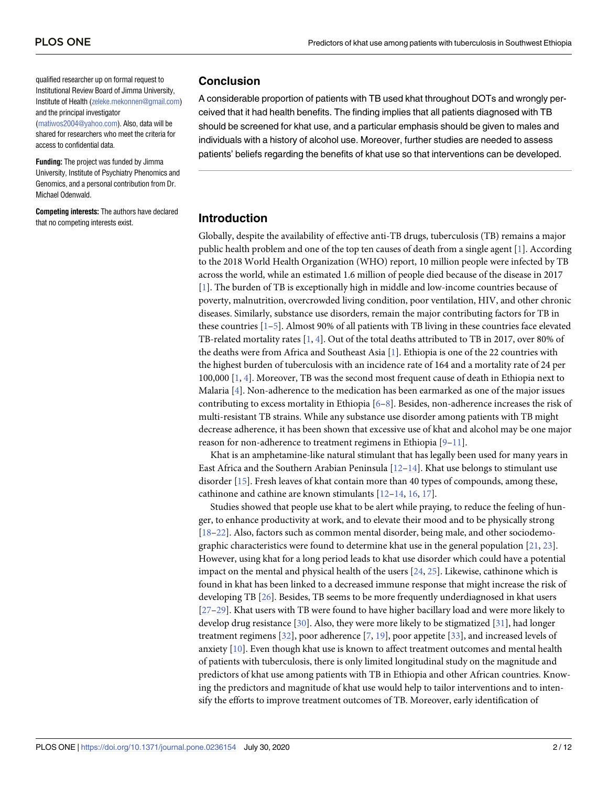<span id="page-1-0"></span>qualified researcher up on formal request to Institutional Review Board of Jimma University, Institute of Health [\(zeleke.mekonnen@gmail.com\)](mailto:zeleke.mekonnen@gmail.com) and the principal investigator

[\(matiwos2004@yahoo.com](mailto:matiwos2004@yahoo.com)). Also, data will be shared for researchers who meet the criteria for access to confidential data.

**Funding:** The project was funded by Jimma University, Institute of Psychiatry Phenomics and Genomics, and a personal contribution from Dr. Michael Odenwald.

**Competing interests:** The authors have declared that no competing interests exist.

# **Conclusion**

A considerable proportion of patients with TB used khat throughout DOTs and wrongly perceived that it had health benefits. The finding implies that all patients diagnosed with TB should be screened for khat use, and a particular emphasis should be given to males and individuals with a history of alcohol use. Moreover, further studies are needed to assess patients' beliefs regarding the benefits of khat use so that interventions can be developed.

# **Introduction**

Globally, despite the availability of effective anti-TB drugs, tuberculosis (TB) remains a major public health problem and one of the top ten causes of death from a single agent [\[1\]](#page-8-0). According to the 2018 World Health Organization (WHO) report, 10 million people were infected by TB across the world, while an estimated 1.6 million of people died because of the disease in 2017 [\[1](#page-8-0)]. The burden of TB is exceptionally high in middle and low-income countries because of poverty, malnutrition, overcrowded living condition, poor ventilation, HIV, and other chronic diseases. Similarly, substance use disorders, remain the major contributing factors for TB in these countries [\[1](#page-8-0)[–5](#page-9-0)]. Almost 90% of all patients with TB living in these countries face elevated TB-related mortality rates [[1](#page-8-0), [4](#page-9-0)]. Out of the total deaths attributed to TB in 2017, over 80% of the deaths were from Africa and Southeast Asia [[1\]](#page-8-0). Ethiopia is one of the 22 countries with the highest burden of tuberculosis with an incidence rate of 164 and a mortality rate of 24 per 100,000 [\[1](#page-8-0), [4](#page-9-0)]. Moreover, TB was the second most frequent cause of death in Ethiopia next to Malaria [\[4](#page-9-0)]. Non-adherence to the medication has been earmarked as one of the major issues contributing to excess mortality in Ethiopia [[6–8](#page-9-0)]. Besides, non-adherence increases the risk of multi-resistant TB strains. While any substance use disorder among patients with TB might decrease adherence, it has been shown that excessive use of khat and alcohol may be one major reason for non-adherence to treatment regimens in Ethiopia [[9](#page-9-0)–[11](#page-9-0)].

Khat is an amphetamine-like natural stimulant that has legally been used for many years in East Africa and the Southern Arabian Peninsula  $[12-14]$ . Khat use belongs to stimulant use disorder [\[15\]](#page-9-0). Fresh leaves of khat contain more than 40 types of compounds, among these, cathinone and cathine are known stimulants [\[12–14,](#page-9-0) [16,](#page-9-0) [17\]](#page-9-0).

Studies showed that people use khat to be alert while praying, to reduce the feeling of hunger, to enhance productivity at work, and to elevate their mood and to be physically strong [\[18–22\]](#page-9-0). Also, factors such as common mental disorder, being male, and other sociodemographic characteristics were found to determine khat use in the general population [[21](#page-9-0), [23](#page-10-0)]. However, using khat for a long period leads to khat use disorder which could have a potential impact on the mental and physical health of the users [[24](#page-10-0), [25](#page-10-0)]. Likewise, cathinone which is found in khat has been linked to a decreased immune response that might increase the risk of developing TB [[26\]](#page-10-0). Besides, TB seems to be more frequently underdiagnosed in khat users [\[27–29\]](#page-10-0). Khat users with TB were found to have higher bacillary load and were more likely to develop drug resistance [\[30\]](#page-10-0). Also, they were more likely to be stigmatized [\[31\]](#page-10-0), had longer treatment regimens [[32](#page-10-0)], poor adherence [[7,](#page-9-0) [19\]](#page-9-0), poor appetite [\[33\]](#page-10-0), and increased levels of anxiety [[10](#page-9-0)]. Even though khat use is known to affect treatment outcomes and mental health of patients with tuberculosis, there is only limited longitudinal study on the magnitude and predictors of khat use among patients with TB in Ethiopia and other African countries. Knowing the predictors and magnitude of khat use would help to tailor interventions and to intensify the efforts to improve treatment outcomes of TB. Moreover, early identification of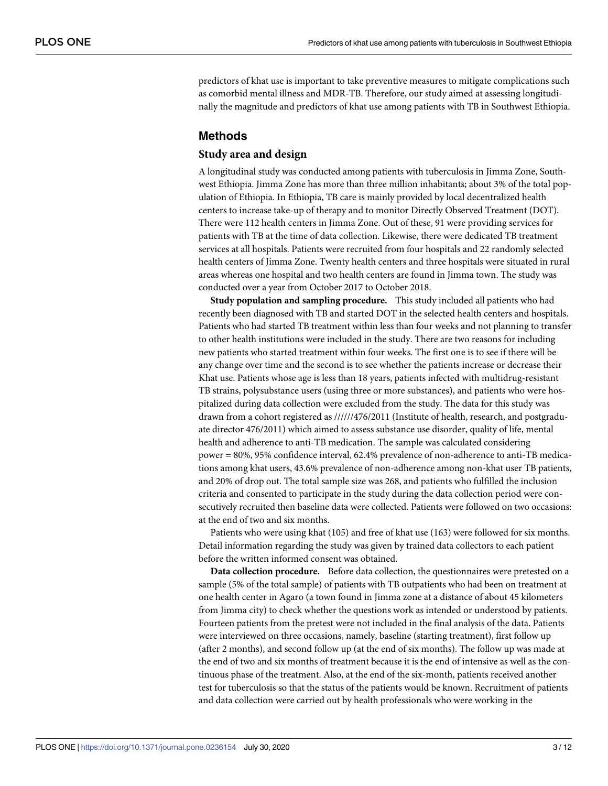predictors of khat use is important to take preventive measures to mitigate complications such as comorbid mental illness and MDR-TB. Therefore, our study aimed at assessing longitudinally the magnitude and predictors of khat use among patients with TB in Southwest Ethiopia.

# **Methods**

#### **Study area and design**

A longitudinal study was conducted among patients with tuberculosis in Jimma Zone, Southwest Ethiopia. Jimma Zone has more than three million inhabitants; about 3% of the total population of Ethiopia. In Ethiopia, TB care is mainly provided by local decentralized health centers to increase take-up of therapy and to monitor Directly Observed Treatment (DOT). There were 112 health centers in Jimma Zone. Out of these, 91 were providing services for patients with TB at the time of data collection. Likewise, there were dedicated TB treatment services at all hospitals. Patients were recruited from four hospitals and 22 randomly selected health centers of Jimma Zone. Twenty health centers and three hospitals were situated in rural areas whereas one hospital and two health centers are found in Jimma town. The study was conducted over a year from October 2017 to October 2018.

**Study population and sampling procedure.** This study included all patients who had recently been diagnosed with TB and started DOT in the selected health centers and hospitals. Patients who had started TB treatment within less than four weeks and not planning to transfer to other health institutions were included in the study. There are two reasons for including new patients who started treatment within four weeks. The first one is to see if there will be any change over time and the second is to see whether the patients increase or decrease their Khat use. Patients whose age is less than 18 years, patients infected with multidrug-resistant TB strains, polysubstance users (using three or more substances), and patients who were hospitalized during data collection were excluded from the study. The data for this study was drawn from a cohort registered as //////476/2011 (Institute of health, research, and postgraduate director 476/2011) which aimed to assess substance use disorder, quality of life, mental health and adherence to anti-TB medication. The sample was calculated considering power = 80%, 95% confidence interval, 62.4% prevalence of non-adherence to anti-TB medications among khat users, 43.6% prevalence of non-adherence among non-khat user TB patients, and 20% of drop out. The total sample size was 268, and patients who fulfilled the inclusion criteria and consented to participate in the study during the data collection period were consecutively recruited then baseline data were collected. Patients were followed on two occasions: at the end of two and six months.

Patients who were using khat (105) and free of khat use (163) were followed for six months. Detail information regarding the study was given by trained data collectors to each patient before the written informed consent was obtained.

**Data collection procedure.** Before data collection, the questionnaires were pretested on a sample (5% of the total sample) of patients with TB outpatients who had been on treatment at one health center in Agaro (a town found in Jimma zone at a distance of about 45 kilometers from Jimma city) to check whether the questions work as intended or understood by patients. Fourteen patients from the pretest were not included in the final analysis of the data. Patients were interviewed on three occasions, namely, baseline (starting treatment), first follow up (after 2 months), and second follow up (at the end of six months). The follow up was made at the end of two and six months of treatment because it is the end of intensive as well as the continuous phase of the treatment. Also, at the end of the six-month, patients received another test for tuberculosis so that the status of the patients would be known. Recruitment of patients and data collection were carried out by health professionals who were working in the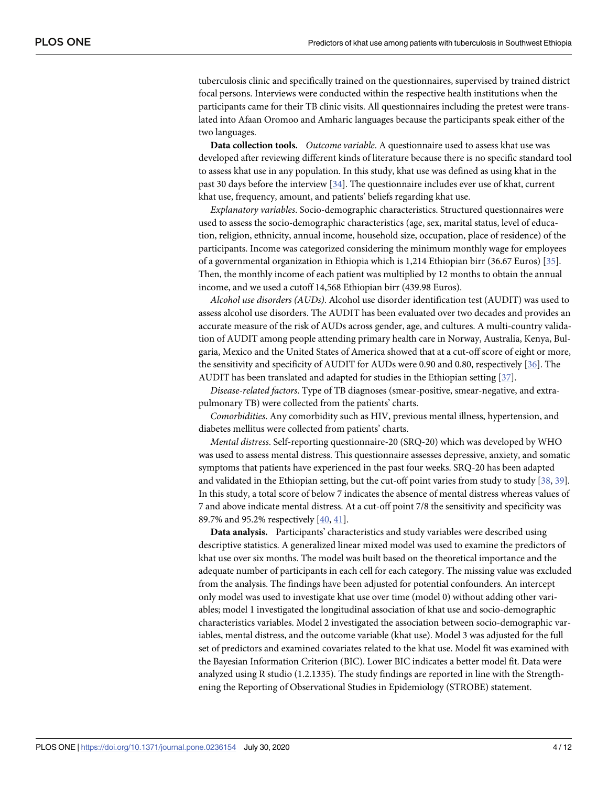<span id="page-3-0"></span>tuberculosis clinic and specifically trained on the questionnaires, supervised by trained district focal persons. Interviews were conducted within the respective health institutions when the participants came for their TB clinic visits. All questionnaires including the pretest were translated into Afaan Oromoo and Amharic languages because the participants speak either of the two languages.

**Data collection tools.** *Outcome variable*. A questionnaire used to assess khat use was developed after reviewing different kinds of literature because there is no specific standard tool to assess khat use in any population. In this study, khat use was defined as using khat in the past 30 days before the interview [\[34\]](#page-10-0). The questionnaire includes ever use of khat, current khat use, frequency, amount, and patients' beliefs regarding khat use.

*Explanatory variables*. Socio-demographic characteristics. Structured questionnaires were used to assess the socio-demographic characteristics (age, sex, marital status, level of education, religion, ethnicity, annual income, household size, occupation, place of residence) of the participants. Income was categorized considering the minimum monthly wage for employees of a governmental organization in Ethiopia which is 1,214 Ethiopian birr (36.67 Euros) [\[35\]](#page-10-0). Then, the monthly income of each patient was multiplied by 12 months to obtain the annual income, and we used a cutoff 14,568 Ethiopian birr (439.98 Euros).

*Alcohol use disorders (AUDs)*. Alcohol use disorder identification test (AUDIT) was used to assess alcohol use disorders. The AUDIT has been evaluated over two decades and provides an accurate measure of the risk of AUDs across gender, age, and cultures. A multi-country validation of AUDIT among people attending primary health care in Norway, Australia, Kenya, Bulgaria, Mexico and the United States of America showed that at a cut-off score of eight or more, the sensitivity and specificity of AUDIT for AUDs were 0.90 and 0.80, respectively [\[36\]](#page-10-0). The AUDIT has been translated and adapted for studies in the Ethiopian setting [\[37\]](#page-10-0).

*Disease-related factors*. Type of TB diagnoses (smear-positive, smear-negative, and extrapulmonary TB) were collected from the patients' charts.

*Comorbidities*. Any comorbidity such as HIV, previous mental illness, hypertension, and diabetes mellitus were collected from patients' charts.

*Mental distress*. Self-reporting questionnaire-20 (SRQ-20) which was developed by WHO was used to assess mental distress. This questionnaire assesses depressive, anxiety, and somatic symptoms that patients have experienced in the past four weeks. SRQ-20 has been adapted and validated in the Ethiopian setting, but the cut-off point varies from study to study [\[38,](#page-10-0) [39](#page-10-0)]. In this study, a total score of below 7 indicates the absence of mental distress whereas values of 7 and above indicate mental distress. At a cut-off point 7/8 the sensitivity and specificity was 89.7% and 95.2% respectively [\[40,](#page-10-0) [41\]](#page-10-0).

**Data analysis.** Participants' characteristics and study variables were described using descriptive statistics. A generalized linear mixed model was used to examine the predictors of khat use over six months. The model was built based on the theoretical importance and the adequate number of participants in each cell for each category. The missing value was excluded from the analysis. The findings have been adjusted for potential confounders. An intercept only model was used to investigate khat use over time (model 0) without adding other variables; model 1 investigated the longitudinal association of khat use and socio-demographic characteristics variables. Model 2 investigated the association between socio-demographic variables, mental distress, and the outcome variable (khat use). Model 3 was adjusted for the full set of predictors and examined covariates related to the khat use. Model fit was examined with the Bayesian Information Criterion (BIC). Lower BIC indicates a better model fit. Data were analyzed using R studio (1.2.1335). The study findings are reported in line with the Strengthening the Reporting of Observational Studies in Epidemiology (STROBE) statement.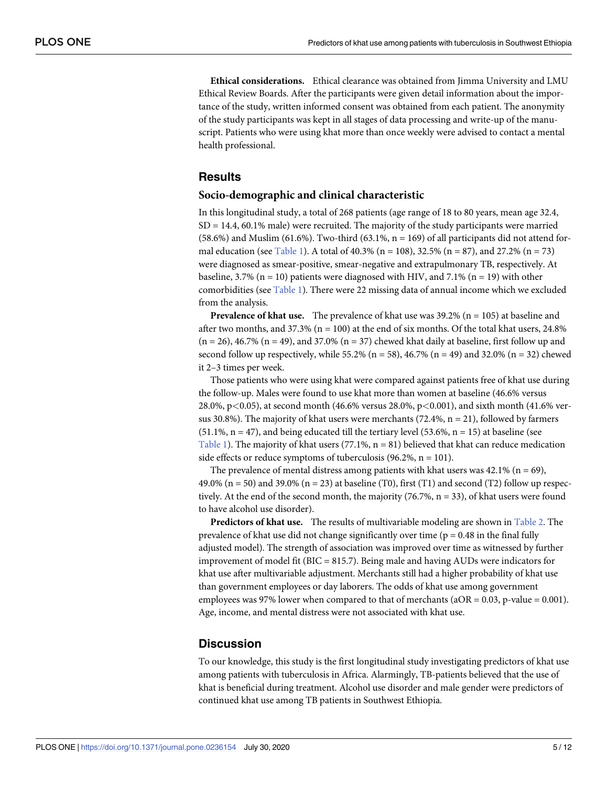<span id="page-4-0"></span>**Ethical considerations.** Ethical clearance was obtained from Jimma University and LMU Ethical Review Boards. After the participants were given detail information about the importance of the study, written informed consent was obtained from each patient. The anonymity of the study participants was kept in all stages of data processing and write-up of the manuscript. Patients who were using khat more than once weekly were advised to contact a mental health professional.

#### **Results**

#### **Socio-demographic and clinical characteristic**

In this longitudinal study, a total of 268 patients (age range of 18 to 80 years, mean age 32.4,  $SD = 14.4$ , 60.1% male) were recruited. The majority of the study participants were married  $(58.6%)$  and Muslim  $(61.6%)$ . Two-third  $(63.1%, n = 169)$  of all participants did not attend for-mal education (see [Table](#page-5-0) 1). A total of  $40.3\%$  (n = 108), 32.5% (n = 87), and 27.2% (n = 73) were diagnosed as smear-positive, smear-negative and extrapulmonary TB, respectively. At baseline, 3.7% ( $n = 10$ ) patients were diagnosed with HIV, and 7.1% ( $n = 19$ ) with other comorbidities (see [Table](#page-5-0) 1). There were 22 missing data of annual income which we excluded from the analysis.

**Prevalence of khat use.** The prevalence of khat use was 39.2% (n = 105) at baseline and after two months, and  $37.3\%$  (n = 100) at the end of six months. Of the total khat users, 24.8%  $(n = 26)$ , 46.7%  $(n = 49)$ , and 37.0%  $(n = 37)$  chewed khat daily at baseline, first follow up and second follow up respectively, while 55.2% (n = 58), 46.7% (n = 49) and 32.0% (n = 32) chewed it 2–3 times per week.

Those patients who were using khat were compared against patients free of khat use during the follow-up. Males were found to use khat more than women at baseline (46.6% versus 28.0%, p*<*0.05), at second month (46.6% versus 28.0%, p*<*0.001), and sixth month (41.6% versus 30.8%). The majority of khat users were merchants (72.4%,  $n = 21$ ), followed by farmers  $(51.1\%, n = 47)$ , and being educated till the tertiary level  $(53.6\%, n = 15)$  at baseline (see [Table](#page-5-0) 1). The majority of khat users (77.1%,  $n = 81$ ) believed that khat can reduce medication side effects or reduce symptoms of tuberculosis  $(96.2\%, n = 101)$ .

The prevalence of mental distress among patients with khat users was  $42.1\%$  (n = 69), 49.0% (n = 50) and 39.0% (n = 23) at baseline (T0), first (T1) and second (T2) follow up respectively. At the end of the second month, the majority (76.7%, n = 33), of khat users were found to have alcohol use disorder).

**Predictors of khat use.** The results of multivariable modeling are shown in [Table](#page-6-0) 2. The prevalence of khat use did not change significantly over time ( $p = 0.48$  in the final fully adjusted model). The strength of association was improved over time as witnessed by further improvement of model fit (BIC = 815.7). Being male and having AUDs were indicators for khat use after multivariable adjustment. Merchants still had a higher probability of khat use than government employees or day laborers. The odds of khat use among government employees was 97% lower when compared to that of merchants ( $aOR = 0.03$ , p-value = 0.001). Age, income, and mental distress were not associated with khat use.

#### **Discussion**

To our knowledge, this study is the first longitudinal study investigating predictors of khat use among patients with tuberculosis in Africa. Alarmingly, TB-patients believed that the use of khat is beneficial during treatment. Alcohol use disorder and male gender were predictors of continued khat use among TB patients in Southwest Ethiopia.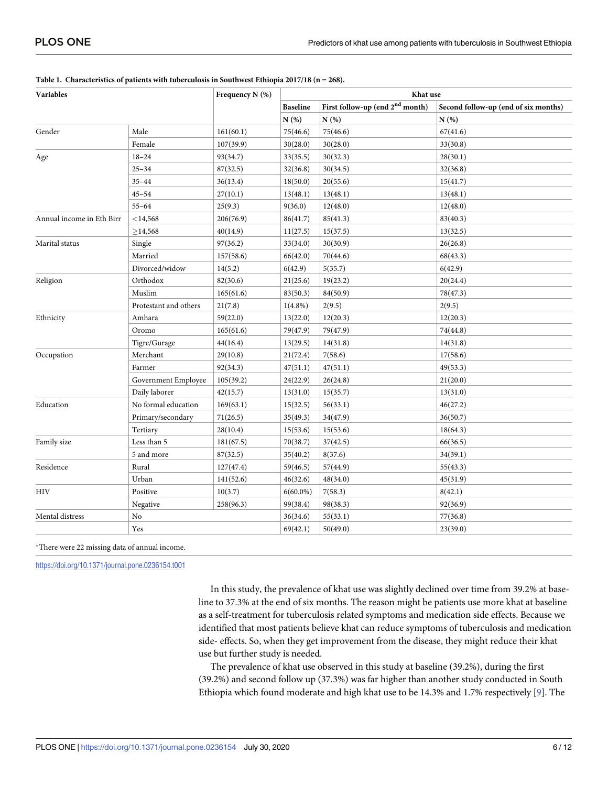| Variables                 |                       | Frequency N (%) | Khat use        |                                             |                                      |  |  |  |  |  |
|---------------------------|-----------------------|-----------------|-----------------|---------------------------------------------|--------------------------------------|--|--|--|--|--|
|                           |                       |                 | <b>Baseline</b> | First follow-up (end 2 <sup>nd</sup> month) | Second follow-up (end of six months) |  |  |  |  |  |
|                           |                       |                 | N(%)            | N(%)                                        | N(%)                                 |  |  |  |  |  |
| Gender                    | Male                  | 161(60.1)       | 75(46.6)        | 75(46.6)                                    | 67(41.6)                             |  |  |  |  |  |
|                           | Female                | 107(39.9)       | 30(28.0)        | 30(28.0)                                    | 33(30.8)                             |  |  |  |  |  |
| Age                       | $18 - 24$             | 93(34.7)        | 33(35.5)        | 30(32.3)                                    | 28(30.1)                             |  |  |  |  |  |
|                           | $25 - 34$             | 87(32.5)        | 32(36.8)        | 30(34.5)                                    | 32(36.8)                             |  |  |  |  |  |
|                           | $35 - 44$             | 36(13.4)        | 18(50.0)        | 20(55.6)                                    | 15(41.7)                             |  |  |  |  |  |
|                           | $45 - 54$             | 27(10.1)        | 13(48.1)        | 13(48.1)                                    | 13(48.1)                             |  |  |  |  |  |
|                           | $55 - 64$             | 25(9.3)         | 9(36.0)         | 12(48.0)                                    | 12(48.0)                             |  |  |  |  |  |
| Annual income in Eth Birr | $<$ 14,568            | 206(76.9)       | 86(41.7)        | 85(41.3)                                    | 83(40.3)                             |  |  |  |  |  |
|                           | >14,568               | 40(14.9)        | 11(27.5)        | 15(37.5)                                    | 13(32.5)                             |  |  |  |  |  |
| Marital status            | Single                | 97(36.2)        | 33(34.0)        | 30(30.9)                                    | 26(26.8)                             |  |  |  |  |  |
|                           | Married               | 157(58.6)       | 66(42.0)        | 70(44.6)                                    | 68(43.3)                             |  |  |  |  |  |
|                           | Divorced/widow        | 14(5.2)         | 6(42.9)         | 5(35.7)                                     | 6(42.9)                              |  |  |  |  |  |
| Religion                  | Orthodox              | 82(30.6)        | 21(25.6)        | 19(23.2)                                    | 20(24.4)                             |  |  |  |  |  |
|                           | Muslim                | 165(61.6)       | 83(50.3)        | 84(50.9)                                    | 78(47.3)                             |  |  |  |  |  |
|                           | Protestant and others | 21(7.8)         | $1(4.8\%)$      | 2(9.5)                                      | 2(9.5)                               |  |  |  |  |  |
| Ethnicity                 | Amhara                | 59(22.0)        | 13(22.0)        | 12(20.3)                                    | 12(20.3)                             |  |  |  |  |  |
|                           | Oromo                 | 165(61.6)       | 79(47.9)        | 79(47.9)                                    | 74(44.8)                             |  |  |  |  |  |
|                           | Tigre/Gurage          | 44(16.4)        | 13(29.5)        | 14(31.8)                                    | 14(31.8)                             |  |  |  |  |  |
| Occupation                | Merchant              | 29(10.8)        | 21(72.4)        | 7(58.6)                                     | 17(58.6)                             |  |  |  |  |  |
|                           | Farmer                | 92(34.3)        | 47(51.1)        | 47(51.1)                                    | 49(53.3)                             |  |  |  |  |  |
|                           | Government Employee   | 105(39.2)       | 24(22.9)        | 26(24.8)                                    | 21(20.0)                             |  |  |  |  |  |
|                           | Daily laborer         | 42(15.7)        | 13(31.0)        | 15(35.7)                                    | 13(31.0)                             |  |  |  |  |  |
| Education                 | No formal education   | 169(63.1)       | 15(32.5)        | 56(33.1)                                    | 46(27.2)                             |  |  |  |  |  |
|                           | Primary/secondary     | 71(26.5)        | 35(49.3)        | 34(47.9)                                    | 36(50.7)                             |  |  |  |  |  |
|                           | Tertiary              | 28(10.4)        | 15(53.6)        | 15(53.6)                                    | 18(64.3)                             |  |  |  |  |  |
| Family size               | Less than 5           | 181(67.5)       | 70(38.7)        | 37(42.5)                                    | 66(36.5)                             |  |  |  |  |  |
|                           | 5 and more            | 87(32.5)        | 35(40.2)        | 8(37.6)                                     | 34(39.1)                             |  |  |  |  |  |
| Residence                 | Rural                 | 127(47.4)       | 59(46.5)        | 57(44.9)                                    | 55(43.3)                             |  |  |  |  |  |
|                           | Urban                 | 141(52.6)       | 46(32.6)        | 48(34.0)                                    | 45(31.9)                             |  |  |  |  |  |
| <b>HIV</b>                | Positive              | 10(3.7)         | $6(60.0\%)$     | 7(58.3)                                     | 8(42.1)                              |  |  |  |  |  |
|                           | Negative              | 258(96.3)       | 99(38.4)        | 98(38.3)                                    | 92(36.9)                             |  |  |  |  |  |
| Mental distress           | No                    |                 | 36(34.6)        | 55(33.1)                                    | 77(36.8)                             |  |  |  |  |  |
|                           | Yes                   |                 | 69(42.1)        | 50(49.0)                                    | 23(39.0)                             |  |  |  |  |  |

<span id="page-5-0"></span>**[Table](#page-4-0) 1. Characteristics of patients with tuberculosis in Southwest Ethiopia 2017/18 (n = 268).**

�There were 22 missing data of annual income.

<https://doi.org/10.1371/journal.pone.0236154.t001>

In this study, the prevalence of khat use was slightly declined over time from 39.2% at baseline to 37.3% at the end of six months. The reason might be patients use more khat at baseline as a self-treatment for tuberculosis related symptoms and medication side effects. Because we identified that most patients believe khat can reduce symptoms of tuberculosis and medication side- effects. So, when they get improvement from the disease, they might reduce their khat use but further study is needed.

The prevalence of khat use observed in this study at baseline (39.2%), during the first (39.2%) and second follow up (37.3%) was far higher than another study conducted in South Ethiopia which found moderate and high khat use to be 14.3% and 1.7% respectively [[9](#page-9-0)]. The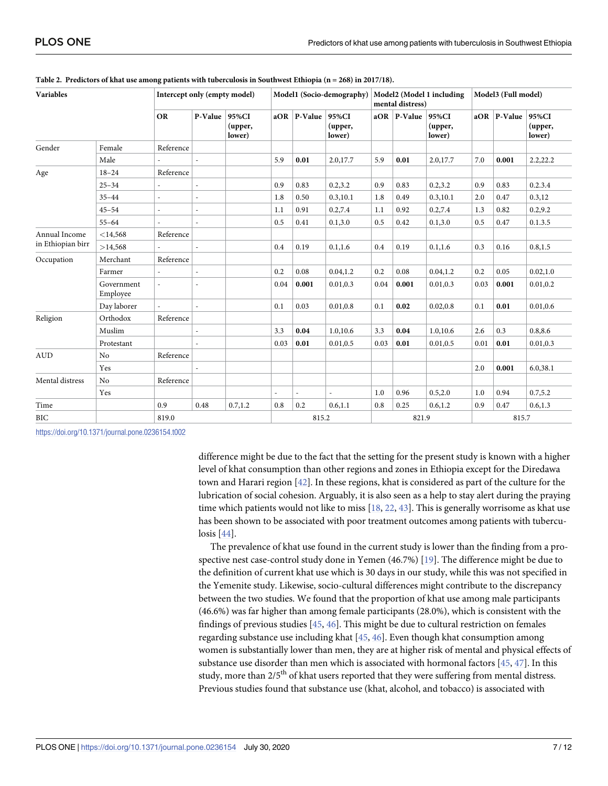| <b>Variables</b>                   |                        | Intercept only (empty model) |                          | Model1 (Socio-demography)  |       |                | Model2 (Model 1 including<br>mental distress) |      |                 | Model3 (Full model)        |      |                 |                            |
|------------------------------------|------------------------|------------------------------|--------------------------|----------------------------|-------|----------------|-----------------------------------------------|------|-----------------|----------------------------|------|-----------------|----------------------------|
|                                    |                        | <b>OR</b>                    | P-Value                  | 95%CI<br>(upper,<br>lower) | aOR   | P-Value        | 95%CI<br>(upper,<br>lower)                    |      | $aOR$   P-Value | 95%CI<br>(upper,<br>lower) |      | $aOR$   P-Value | 95%CI<br>(upper,<br>lower) |
| Gender                             | Female                 | Reference                    |                          |                            |       |                |                                               |      |                 |                            |      |                 |                            |
|                                    | Male                   | ÷.                           | L.                       |                            | 5.9   | 0.01           | 2.0,17.7                                      | 5.9  | 0.01            | 2.0,17.7                   | 7.0  | 0.001           | 2.2,22.2                   |
| Age                                | $18 - 24$              | Reference                    |                          |                            |       |                |                                               |      |                 |                            |      |                 |                            |
|                                    | $25 - 34$              | $\overline{a}$               | $\overline{\phantom{a}}$ |                            | 0.9   | 0.83           | 0.2, 3.2                                      | 0.9  | 0.83            | 0.2, 3.2                   | 0.9  | 0.83            | 0.2.3.4                    |
|                                    | $35 - 44$              | ٠                            | $\overline{\phantom{a}}$ |                            | 1.8   | 0.50           | 0.3, 10.1                                     | 1.8  | 0.49            | 0.3, 10.1                  | 2.0  | 0.47            | 0.3, 12                    |
|                                    | $45 - 54$              | ÷                            | $\overline{\phantom{a}}$ |                            | 1.1   | 0.91           | 0.2,7.4                                       | 1.1  | 0.92            | 0.2,7.4                    | 1.3  | 0.82            | 0.2, 9.2                   |
|                                    | $55 - 64$              | ÷,                           | $\overline{\phantom{a}}$ |                            | 0.5   | 0.41           | 0.1, 3.0                                      | 0.5  | 0.42            | 0.1, 3.0                   | 0.5  | 0.47            | 0.1.3.5                    |
| Annual Income<br>in Ethiopian birr | $<$ 14,568             | Reference                    |                          |                            |       |                |                                               |      |                 |                            |      |                 |                            |
|                                    | >14,568                |                              |                          |                            | 0.4   | 0.19           | 0.1, 1.6                                      | 0.4  | 0.19            | 0.1, 1.6                   | 0.3  | 0.16            | 0.8, 1.5                   |
| Occupation                         | Merchant               | Reference                    |                          |                            |       |                |                                               |      |                 |                            |      |                 |                            |
|                                    | Farmer                 | ٠                            | $\overline{\phantom{a}}$ |                            | 0.2   | 0.08           | 0.04, 1.2                                     | 0.2  | 0.08            | 0.04, 1.2                  | 0.2  | 0.05            | 0.02, 1.0                  |
|                                    | Government<br>Employee | L.                           | $\overline{\phantom{a}}$ |                            | 0.04  | 0.001          | 0.01, 0.3                                     | 0.04 | 0.001           | 0.01, 0.3                  | 0.03 | 0.001           | 0.01, 0.2                  |
|                                    | Day laborer            |                              | $\overline{\phantom{a}}$ |                            | 0.1   | 0.03           | 0.01, 0.8                                     | 0.1  | 0.02            | 0.02, 0.8                  | 0.1  | 0.01            | 0.01, 0.6                  |
| Religion                           | Orthodox               | Reference                    |                          |                            |       |                |                                               |      |                 |                            |      |                 |                            |
|                                    | Muslim                 |                              | $\overline{\phantom{a}}$ |                            | 3.3   | 0.04           | 1.0,10.6                                      | 3.3  | 0.04            | 1.0,10.6                   | 2.6  | 0.3             | 0.8,8.6                    |
|                                    | Protestant             |                              |                          |                            | 0.03  | 0.01           | 0.01, 0.5                                     | 0.03 | 0.01            | 0.01, 0.5                  | 0.01 | 0.01            | 0.01, 0.3                  |
| <b>AUD</b>                         | No                     | Reference                    |                          |                            |       |                |                                               |      |                 |                            |      |                 |                            |
|                                    | Yes                    |                              |                          |                            |       |                |                                               |      |                 |                            | 2.0  | 0.001           | 6.0,38.1                   |
| Mental distress                    | N <sub>o</sub>         | Reference                    |                          |                            |       |                |                                               |      |                 |                            |      |                 |                            |
|                                    | Yes                    |                              |                          |                            |       | $\overline{a}$ |                                               | 1.0  | 0.96            | 0.5, 2.0                   | 1.0  | 0.94            | 0.7,5.2                    |
| Time                               |                        | 0.9                          | 0.48                     | 0.7, 1.2                   | 0.8   | 0.2            | 0.6, 1.1                                      | 0.8  | 0.25            | 0.6, 1.2                   | 0.9  | 0.47            | 0.6, 1.3                   |
| <b>BIC</b>                         |                        | 819.0                        |                          |                            | 815.2 |                | 821.9                                         |      |                 | 815.7                      |      |                 |                            |

<span id="page-6-0"></span>

| Table 2. Predictors of khat use among patients with tuberculosis in Southwest Ethiopia ( $n = 268$ ) in 2017/18). |  |  |
|-------------------------------------------------------------------------------------------------------------------|--|--|
|                                                                                                                   |  |  |

<https://doi.org/10.1371/journal.pone.0236154.t002>

difference might be due to the fact that the setting for the present study is known with a higher level of khat consumption than other regions and zones in Ethiopia except for the Diredawa town and Harari region [[42](#page-10-0)]. In these regions, khat is considered as part of the culture for the lubrication of social cohesion. Arguably, it is also seen as a help to stay alert during the praying time which patients would not like to miss [[18](#page-9-0), [22](#page-9-0), [43](#page-10-0)]. This is generally worrisome as khat use has been shown to be associated with poor treatment outcomes among patients with tuberculosis [\[44\]](#page-11-0).

The prevalence of khat use found in the current study is lower than the finding from a prospective nest case-control study done in Yemen (46.7%) [\[19\]](#page-9-0). The difference might be due to the definition of current khat use which is 30 days in our study, while this was not specified in the Yemenite study. Likewise, socio-cultural differences might contribute to the discrepancy between the two studies. We found that the proportion of khat use among male participants (46.6%) was far higher than among female participants (28.0%), which is consistent with the findings of previous studies [[45](#page-11-0), [46](#page-11-0)]. This might be due to cultural restriction on females regarding substance use including khat [[45](#page-11-0), [46](#page-11-0)]. Even though khat consumption among women is substantially lower than men, they are at higher risk of mental and physical effects of substance use disorder than men which is associated with hormonal factors [\[45,](#page-11-0) [47\]](#page-11-0). In this study, more than  $2/5<sup>th</sup>$  of khat users reported that they were suffering from mental distress. Previous studies found that substance use (khat, alcohol, and tobacco) is associated with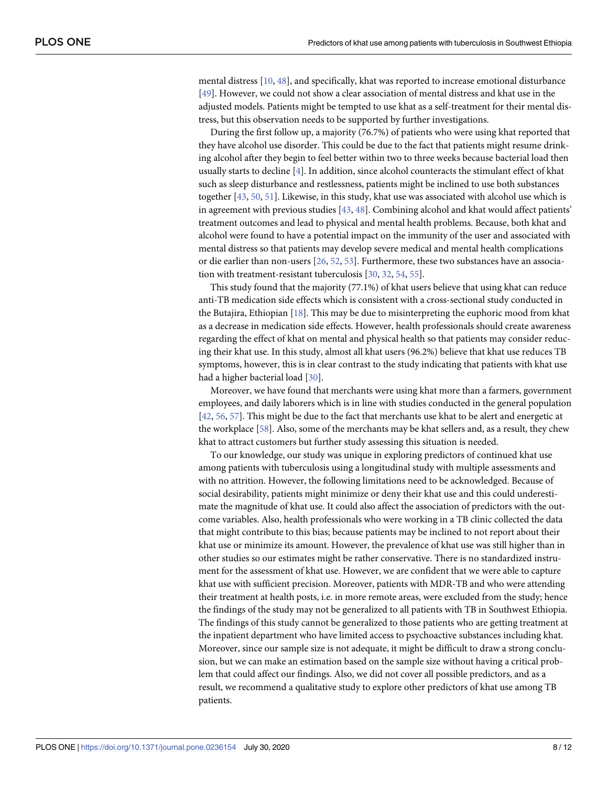<span id="page-7-0"></span>mental distress [\[10,](#page-9-0) [48\]](#page-11-0), and specifically, khat was reported to increase emotional disturbance [\[49\]](#page-11-0). However, we could not show a clear association of mental distress and khat use in the adjusted models. Patients might be tempted to use khat as a self-treatment for their mental distress, but this observation needs to be supported by further investigations.

During the first follow up, a majority (76.7%) of patients who were using khat reported that they have alcohol use disorder. This could be due to the fact that patients might resume drinking alcohol after they begin to feel better within two to three weeks because bacterial load then usually starts to decline [\[4\]](#page-9-0). In addition, since alcohol counteracts the stimulant effect of khat such as sleep disturbance and restlessness, patients might be inclined to use both substances together [[43](#page-10-0), [50](#page-11-0), [51](#page-11-0)]. Likewise, in this study, khat use was associated with alcohol use which is in agreement with previous studies [\[43,](#page-10-0) [48\]](#page-11-0). Combining alcohol and khat would affect patients' treatment outcomes and lead to physical and mental health problems. Because, both khat and alcohol were found to have a potential impact on the immunity of the user and associated with mental distress so that patients may develop severe medical and mental health complications or die earlier than non-users [[26](#page-10-0), [52](#page-11-0), [53](#page-11-0)]. Furthermore, these two substances have an association with treatment-resistant tuberculosis [[30](#page-10-0), [32](#page-10-0), [54](#page-11-0), [55](#page-11-0)].

This study found that the majority (77.1%) of khat users believe that using khat can reduce anti-TB medication side effects which is consistent with a cross-sectional study conducted in the Butajira, Ethiopian [[18](#page-9-0)]. This may be due to misinterpreting the euphoric mood from khat as a decrease in medication side effects. However, health professionals should create awareness regarding the effect of khat on mental and physical health so that patients may consider reducing their khat use. In this study, almost all khat users (96.2%) believe that khat use reduces TB symptoms, however, this is in clear contrast to the study indicating that patients with khat use had a higher bacterial load [[30](#page-10-0)].

Moreover, we have found that merchants were using khat more than a farmers, government employees, and daily laborers which is in line with studies conducted in the general population [\[42,](#page-10-0) [56,](#page-11-0) [57\]](#page-11-0). This might be due to the fact that merchants use khat to be alert and energetic at the workplace [\[58\]](#page-11-0). Also, some of the merchants may be khat sellers and, as a result, they chew khat to attract customers but further study assessing this situation is needed.

To our knowledge, our study was unique in exploring predictors of continued khat use among patients with tuberculosis using a longitudinal study with multiple assessments and with no attrition. However, the following limitations need to be acknowledged. Because of social desirability, patients might minimize or deny their khat use and this could underestimate the magnitude of khat use. It could also affect the association of predictors with the outcome variables. Also, health professionals who were working in a TB clinic collected the data that might contribute to this bias; because patients may be inclined to not report about their khat use or minimize its amount. However, the prevalence of khat use was still higher than in other studies so our estimates might be rather conservative. There is no standardized instrument for the assessment of khat use. However, we are confident that we were able to capture khat use with sufficient precision. Moreover, patients with MDR-TB and who were attending their treatment at health posts, i.e. in more remote areas, were excluded from the study; hence the findings of the study may not be generalized to all patients with TB in Southwest Ethiopia. The findings of this study cannot be generalized to those patients who are getting treatment at the inpatient department who have limited access to psychoactive substances including khat. Moreover, since our sample size is not adequate, it might be difficult to draw a strong conclusion, but we can make an estimation based on the sample size without having a critical problem that could affect our findings. Also, we did not cover all possible predictors, and as a result, we recommend a qualitative study to explore other predictors of khat use among TB patients.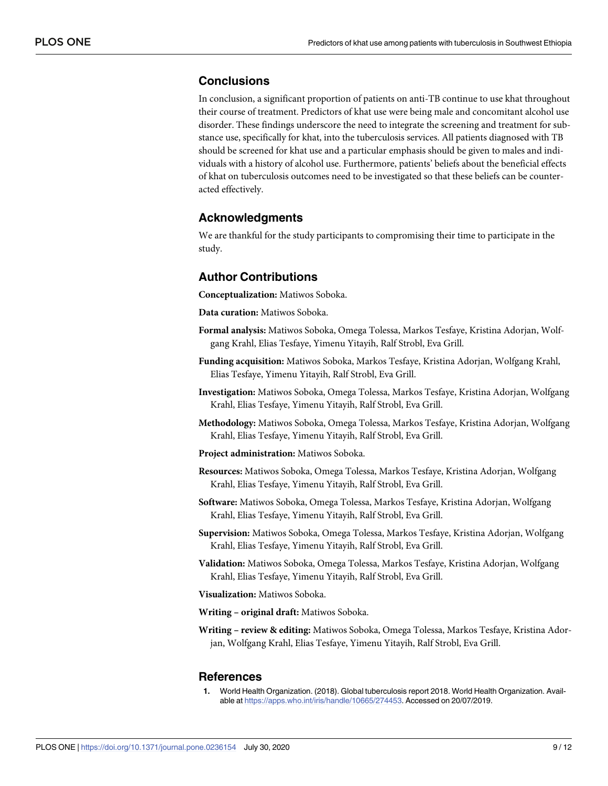# <span id="page-8-0"></span>**Conclusions**

In conclusion, a significant proportion of patients on anti-TB continue to use khat throughout their course of treatment. Predictors of khat use were being male and concomitant alcohol use disorder. These findings underscore the need to integrate the screening and treatment for substance use, specifically for khat, into the tuberculosis services. All patients diagnosed with TB should be screened for khat use and a particular emphasis should be given to males and individuals with a history of alcohol use. Furthermore, patients' beliefs about the beneficial effects of khat on tuberculosis outcomes need to be investigated so that these beliefs can be counteracted effectively.

# **Acknowledgments**

We are thankful for the study participants to compromising their time to participate in the study.

# **Author Contributions**

**Conceptualization:** Matiwos Soboka.

- **Data curation:** Matiwos Soboka.
- **Formal analysis:** Matiwos Soboka, Omega Tolessa, Markos Tesfaye, Kristina Adorjan, Wolfgang Krahl, Elias Tesfaye, Yimenu Yitayih, Ralf Strobl, Eva Grill.
- **Funding acquisition:** Matiwos Soboka, Markos Tesfaye, Kristina Adorjan, Wolfgang Krahl, Elias Tesfaye, Yimenu Yitayih, Ralf Strobl, Eva Grill.
- **Investigation:** Matiwos Soboka, Omega Tolessa, Markos Tesfaye, Kristina Adorjan, Wolfgang Krahl, Elias Tesfaye, Yimenu Yitayih, Ralf Strobl, Eva Grill.
- **Methodology:** Matiwos Soboka, Omega Tolessa, Markos Tesfaye, Kristina Adorjan, Wolfgang Krahl, Elias Tesfaye, Yimenu Yitayih, Ralf Strobl, Eva Grill.
- **Project administration:** Matiwos Soboka.
- **Resources:** Matiwos Soboka, Omega Tolessa, Markos Tesfaye, Kristina Adorjan, Wolfgang Krahl, Elias Tesfaye, Yimenu Yitayih, Ralf Strobl, Eva Grill.
- **Software:** Matiwos Soboka, Omega Tolessa, Markos Tesfaye, Kristina Adorjan, Wolfgang Krahl, Elias Tesfaye, Yimenu Yitayih, Ralf Strobl, Eva Grill.
- **Supervision:** Matiwos Soboka, Omega Tolessa, Markos Tesfaye, Kristina Adorjan, Wolfgang Krahl, Elias Tesfaye, Yimenu Yitayih, Ralf Strobl, Eva Grill.
- **Validation:** Matiwos Soboka, Omega Tolessa, Markos Tesfaye, Kristina Adorjan, Wolfgang Krahl, Elias Tesfaye, Yimenu Yitayih, Ralf Strobl, Eva Grill.
- **Visualization:** Matiwos Soboka.
- **Writing – original draft:** Matiwos Soboka.
- **Writing – review & editing:** Matiwos Soboka, Omega Tolessa, Markos Tesfaye, Kristina Adorjan, Wolfgang Krahl, Elias Tesfaye, Yimenu Yitayih, Ralf Strobl, Eva Grill.

#### **References**

**[1](#page-1-0).** World Health Organization. (2018). Global tuberculosis report 2018. World Health Organization. Available at [https://apps.who.int/iris/handle/10665/274453.](https://apps.who.int/iris/handle/10665/274453) Accessed on 20/07/2019.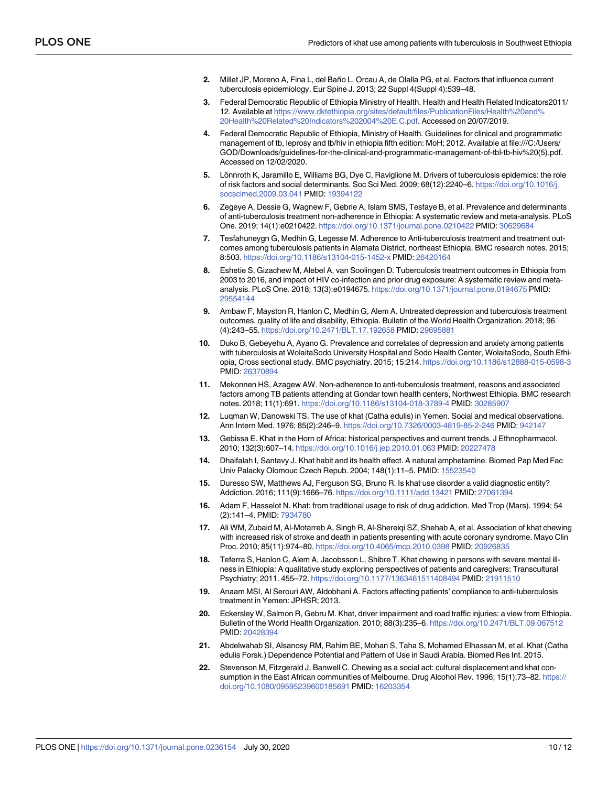- <span id="page-9-0"></span>**2.** Millet JP, Moreno A, Fina L, del Baño L, Orcau A, de Olalla PG, et al. Factors that influence current tuberculosis epidemiology. Eur Spine J. 2013; 22 Suppl 4(Suppl 4):539–48.
- **3.** Federal Democratic Republic of Ethiopia Ministry of Health. Health and Health Related Indicators2011/ 12. Available at [https://www.dktethiopia.org/sites/default/files/PublicationFiles/Health%20and%](https://www.dktethiopia.org/sites/default/files/PublicationFiles/Health%20and%20Health%20Related%20Indicators%202004%20E.C.pdf) [20Health%20Related%20Indicators%202004%20E.C.pdf.](https://www.dktethiopia.org/sites/default/files/PublicationFiles/Health%20and%20Health%20Related%20Indicators%202004%20E.C.pdf) Accessed on 20/07/2019.
- **[4](#page-1-0).** Federal Democratic Republic of Ethiopia, Ministry of Health. Guidelines for clinical and programmatic management of tb, leprosy and tb/hiv in ethiopia fifth edition: MoH; 2012. Available at file:///C:/Users/ GOD/Downloads/guidelines-for-the-clinical-and-programmatic-management-of-tbl-tb-hiv%20(5).pdf. Accessed on 12/02/2020.
- **[5](#page-1-0).** Lönnroth K, Jaramillo E, Williams BG, Dye C, Raviglione M. Drivers of tuberculosis epidemics: the role of risk factors and social determinants. Soc Sci Med. 2009; 68(12):2240–6. [https://doi.org/10.1016/j.](https://doi.org/10.1016/j.socscimed.2009.03.041) [socscimed.2009.03.041](https://doi.org/10.1016/j.socscimed.2009.03.041) PMID: [19394122](http://www.ncbi.nlm.nih.gov/pubmed/19394122)
- **[6](#page-1-0).** Zegeye A, Dessie G, Wagnew F, Gebrie A, Islam SMS, Tesfaye B, et al. Prevalence and determinants of anti-tuberculosis treatment non-adherence in Ethiopia: A systematic review and meta-analysis. PLoS One. 2019; 14(1):e0210422. <https://doi.org/10.1371/journal.pone.0210422> PMID: [30629684](http://www.ncbi.nlm.nih.gov/pubmed/30629684)
- **[7](#page-1-0).** Tesfahuneygn G, Medhin G, Legesse M. Adherence to Anti-tuberculosis treatment and treatment outcomes among tuberculosis patients in Alamata District, northeast Ethiopia. BMC research notes. 2015; 8:503. <https://doi.org/10.1186/s13104-015-1452-x> PMID: [26420164](http://www.ncbi.nlm.nih.gov/pubmed/26420164)
- **[8](#page-1-0).** Eshetie S, Gizachew M, Alebel A, van Soolingen D. Tuberculosis treatment outcomes in Ethiopia from 2003 to 2016, and impact of HIV co-infection and prior drug exposure: A systematic review and metaanalysis. PLoS One. 2018; 13(3):e0194675. <https://doi.org/10.1371/journal.pone.0194675> PMID: [29554144](http://www.ncbi.nlm.nih.gov/pubmed/29554144)
- **[9](#page-1-0).** Ambaw F, Mayston R, Hanlon C, Medhin G, Alem A. Untreated depression and tuberculosis treatment outcomes, quality of life and disability, Ethiopia. Bulletin of the World Health Organization. 2018; 96 (4):243–55. <https://doi.org/10.2471/BLT.17.192658> PMID: [29695881](http://www.ncbi.nlm.nih.gov/pubmed/29695881)
- **[10](#page-1-0).** Duko B, Gebeyehu A, Ayano G. Prevalence and correlates of depression and anxiety among patients with tuberculosis at WolaitaSodo University Hospital and Sodo Health Center, WolaitaSodo, South Ethiopia, Cross sectional study. BMC psychiatry. 2015; 15:214. <https://doi.org/10.1186/s12888-015-0598-3> PMID: [26370894](http://www.ncbi.nlm.nih.gov/pubmed/26370894)
- **[11](#page-1-0).** Mekonnen HS, Azagew AW. Non-adherence to anti-tuberculosis treatment, reasons and associated factors among TB patients attending at Gondar town health centers, Northwest Ethiopia. BMC research notes. 2018; 11(1):691. <https://doi.org/10.1186/s13104-018-3789-4> PMID: [30285907](http://www.ncbi.nlm.nih.gov/pubmed/30285907)
- **[12](#page-1-0).** Luqman W, Danowski TS. The use of khat (Catha edulis) in Yemen. Social and medical observations. Ann Intern Med. 1976; 85(2):246–9. <https://doi.org/10.7326/0003-4819-85-2-246> PMID: [942147](http://www.ncbi.nlm.nih.gov/pubmed/942147)
- **13.** Gebissa E. Khat in the Horn of Africa: historical perspectives and current trends. J Ethnopharmacol. 2010; 132(3):607–14. <https://doi.org/10.1016/j.jep.2010.01.063> PMID: [20227478](http://www.ncbi.nlm.nih.gov/pubmed/20227478)
- **[14](#page-1-0).** Dhaifalah I, Santavy J. Khat habit and its health effect. A natural amphetamine. Biomed Pap Med Fac Univ Palacky Olomouc Czech Repub. 2004; 148(1):11–5. PMID: [15523540](http://www.ncbi.nlm.nih.gov/pubmed/15523540)
- **[15](#page-1-0).** Duresso SW, Matthews AJ, Ferguson SG, Bruno R. Is khat use disorder a valid diagnostic entity? Addiction. 2016; 111(9):1666–76. <https://doi.org/10.1111/add.13421> PMID: [27061394](http://www.ncbi.nlm.nih.gov/pubmed/27061394)
- **[16](#page-1-0).** Adam F, Hasselot N. Khat: from traditional usage to risk of drug addiction. Med Trop (Mars). 1994; 54 (2):141–4. PMID: [7934780](http://www.ncbi.nlm.nih.gov/pubmed/7934780)
- **[17](#page-1-0).** Ali WM, Zubaid M, Al-Motarreb A, Singh R, Al-Shereiqi SZ, Shehab A, et al. Association of khat chewing with increased risk of stroke and death in patients presenting with acute coronary syndrome. Mayo Clin Proc. 2010; 85(11):974–80. <https://doi.org/10.4065/mcp.2010.0398> PMID: [20926835](http://www.ncbi.nlm.nih.gov/pubmed/20926835)
- **[18](#page-1-0).** Teferra S, Hanlon C, Alem A, Jacobsson L, Shibre T. Khat chewing in persons with severe mental illness in Ethiopia: A qualitative study exploring perspectives of patients and caregivers: Transcultural Psychiatry; 2011. 455–72. <https://doi.org/10.1177/1363461511408494> PMID: [21911510](http://www.ncbi.nlm.nih.gov/pubmed/21911510)
- **[19](#page-1-0).** Anaam MSI, Al Serouri AW, Aldobhani A. Factors affecting patients' compliance to anti-tuberculosis treatment in Yemen: JPHSR; 2013.
- **20.** Eckersley W, Salmon R, Gebru M. Khat, driver impairment and road traffic injuries: a view from Ethiopia. Bulletin of the World Health Organization. 2010; 88(3):235–6. <https://doi.org/10.2471/BLT.09.067512> PMID: [20428394](http://www.ncbi.nlm.nih.gov/pubmed/20428394)
- **[21](#page-1-0).** Abdelwahab SI, Alsanosy RM, Rahim BE, Mohan S, Taha S, Mohamed Elhassan M, et al. Khat (Catha edulis Forsk.) Dependence Potential and Pattern of Use in Saudi Arabia. Biomed Res Int. 2015.
- **[22](#page-1-0).** Stevenson M, Fitzgerald J, Banwell C. Chewing as a social act: cultural displacement and khat consumption in the East African communities of Melbourne. Drug Alcohol Rev. 1996; 15(1):73–82. [https://](https://doi.org/10.1080/09595239600185691) [doi.org/10.1080/09595239600185691](https://doi.org/10.1080/09595239600185691) PMID: [16203354](http://www.ncbi.nlm.nih.gov/pubmed/16203354)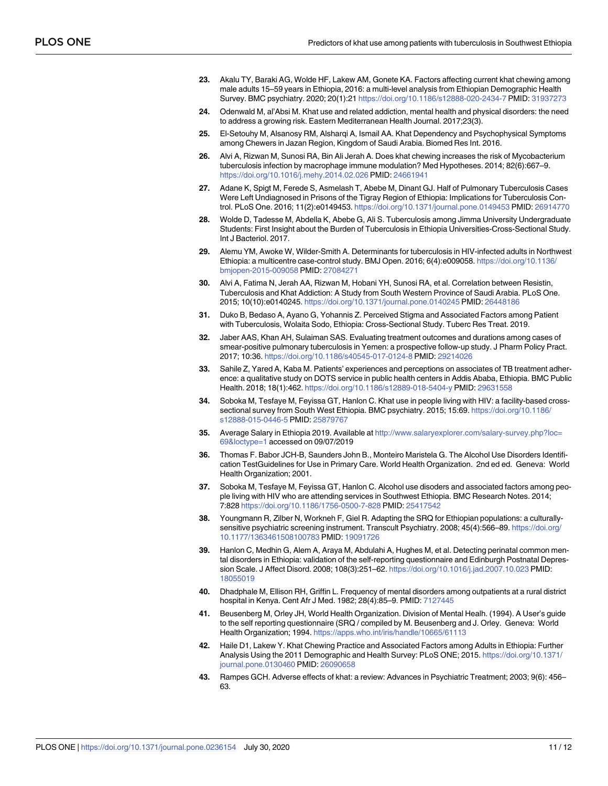- <span id="page-10-0"></span>**[23](#page-1-0).** Akalu TY, Baraki AG, Wolde HF, Lakew AM, Gonete KA. Factors affecting current khat chewing among male adults 15–59 years in Ethiopia, 2016: a multi-level analysis from Ethiopian Demographic Health Survey. BMC psychiatry. 2020; 20(1):21 <https://doi.org/10.1186/s12888-020-2434-7> PMID: [31937273](http://www.ncbi.nlm.nih.gov/pubmed/31937273)
- **[24](#page-1-0).** Odenwald M, al'Absi M. Khat use and related addiction, mental health and physical disorders: the need to address a growing risk. Eastern Mediterranean Health Journal. 2017;23(3).
- **[25](#page-1-0).** El-Setouhy M, Alsanosy RM, Alsharqi A, Ismail AA. Khat Dependency and Psychophysical Symptoms among Chewers in Jazan Region, Kingdom of Saudi Arabia. Biomed Res Int. 2016.
- **[26](#page-1-0).** Alvi A, Rizwan M, Sunosi RA, Bin Ali Jerah A. Does khat chewing increases the risk of Mycobacterium tuberculosis infection by macrophage immune modulation? Med Hypotheses. 2014; 82(6):667–9. <https://doi.org/10.1016/j.mehy.2014.02.026> PMID: [24661941](http://www.ncbi.nlm.nih.gov/pubmed/24661941)
- **[27](#page-1-0).** Adane K, Spigt M, Ferede S, Asmelash T, Abebe M, Dinant GJ. Half of Pulmonary Tuberculosis Cases Were Left Undiagnosed in Prisons of the Tigray Region of Ethiopia: Implications for Tuberculosis Control. PLoS One. 2016; 11(2):e0149453. <https://doi.org/10.1371/journal.pone.0149453> PMID: [26914770](http://www.ncbi.nlm.nih.gov/pubmed/26914770)
- **28.** Wolde D, Tadesse M, Abdella K, Abebe G, Ali S. Tuberculosis among Jimma University Undergraduate Students: First Insight about the Burden of Tuberculosis in Ethiopia Universities-Cross-Sectional Study. Int J Bacteriol. 2017.
- **[29](#page-1-0).** Alemu YM, Awoke W, Wilder-Smith A. Determinants for tuberculosis in HIV-infected adults in Northwest Ethiopia: a multicentre case-control study. BMJ Open. 2016; 6(4):e009058. [https://doi.org/10.1136/](https://doi.org/10.1136/bmjopen-2015-009058) [bmjopen-2015-009058](https://doi.org/10.1136/bmjopen-2015-009058) PMID: [27084271](http://www.ncbi.nlm.nih.gov/pubmed/27084271)
- **[30](#page-1-0).** Alvi A, Fatima N, Jerah AA, Rizwan M, Hobani YH, Sunosi RA, et al. Correlation between Resistin, Tuberculosis and Khat Addiction: A Study from South Western Province of Saudi Arabia. PLoS One. 2015; 10(10):e0140245. <https://doi.org/10.1371/journal.pone.0140245> PMID: [26448186](http://www.ncbi.nlm.nih.gov/pubmed/26448186)
- **[31](#page-1-0).** Duko B, Bedaso A, Ayano G, Yohannis Z. Perceived Stigma and Associated Factors among Patient with Tuberculosis, Wolaita Sodo, Ethiopia: Cross-Sectional Study. Tuberc Res Treat. 2019.
- **[32](#page-1-0).** Jaber AAS, Khan AH, Sulaiman SAS. Evaluating treatment outcomes and durations among cases of smear-positive pulmonary tuberculosis in Yemen: a prospective follow-up study. J Pharm Policy Pract. 2017; 10:36. <https://doi.org/10.1186/s40545-017-0124-8> PMID: [29214026](http://www.ncbi.nlm.nih.gov/pubmed/29214026)
- **[33](#page-1-0).** Sahile Z, Yared A, Kaba M. Patients' experiences and perceptions on associates of TB treatment adherence: a qualitative study on DOTS service in public health centers in Addis Ababa, Ethiopia. BMC Public Health. 2018; 18(1):462. <https://doi.org/10.1186/s12889-018-5404-y> PMID: [29631558](http://www.ncbi.nlm.nih.gov/pubmed/29631558)
- **[34](#page-3-0).** Soboka M, Tesfaye M, Feyissa GT, Hanlon C. Khat use in people living with HIV: a facility-based crosssectional survey from South West Ethiopia. BMC psychiatry. 2015; 15:69. [https://doi.org/10.1186/](https://doi.org/10.1186/s12888-015-0446-5) [s12888-015-0446-5](https://doi.org/10.1186/s12888-015-0446-5) PMID: [25879767](http://www.ncbi.nlm.nih.gov/pubmed/25879767)
- **[35](#page-3-0).** Average Salary in Ethiopia 2019. Available at [http://www.salaryexplorer.com/salary-survey.php?loc=](http://www.salaryexplorer.com/salary-survey.php?loc=69&loctype=1) [69&loctype=1](http://www.salaryexplorer.com/salary-survey.php?loc=69&loctype=1) accessed on 09/07/2019
- **[36](#page-3-0).** Thomas F. Babor JCH-B, Saunders John B., Monteiro Maristela G. The Alcohol Use Disorders Identification TestGuidelines for Use in Primary Care. World Health Organization. 2nd ed ed. Geneva: World Health Organization; 2001.
- **[37](#page-3-0).** Soboka M, Tesfaye M, Feyissa GT, Hanlon C. Alcohol use disoders and associated factors among people living with HIV who are attending services in Southwest Ethiopia. BMC Research Notes. 2014; 7:828 <https://doi.org/10.1186/1756-0500-7-828> PMID: [25417542](http://www.ncbi.nlm.nih.gov/pubmed/25417542)
- **[38](#page-3-0).** Youngmann R, Zilber N, Workneh F, Giel R. Adapting the SRQ for Ethiopian populations: a culturallysensitive psychiatric screening instrument. Transcult Psychiatry. 2008; 45(4):566–89. [https://doi.org/](https://doi.org/10.1177/1363461508100783) [10.1177/1363461508100783](https://doi.org/10.1177/1363461508100783) PMID: [19091726](http://www.ncbi.nlm.nih.gov/pubmed/19091726)
- **[39](#page-3-0).** Hanlon C, Medhin G, Alem A, Araya M, Abdulahi A, Hughes M, et al. Detecting perinatal common mental disorders in Ethiopia: validation of the self-reporting questionnaire and Edinburgh Postnatal Depression Scale. J Affect Disord. 2008; 108(3):251–62. <https://doi.org/10.1016/j.jad.2007.10.023> PMID: [18055019](http://www.ncbi.nlm.nih.gov/pubmed/18055019)
- **[40](#page-3-0).** Dhadphale M, Ellison RH, Griffin L. Frequency of mental disorders among outpatients at a rural district hospital in Kenya. Cent Afr J Med. 1982; 28(4):85–9. PMID: [7127445](http://www.ncbi.nlm.nih.gov/pubmed/7127445)
- **[41](#page-3-0).** Beusenberg M, Orley JH, World Health Organization. Division of Mental Healh. (1994). A User's guide to the self reporting questionnaire (SRQ / compiled by M. Beusenberg and J. Orley. Geneva: World Health Organization; 1994. <https://apps.who.int/iris/handle/10665/61113>
- **[42](#page-6-0).** Haile D1, Lakew Y. Khat Chewing Practice and Associated Factors among Adults in Ethiopia: Further Analysis Using the 2011 Demographic and Health Survey: PLoS ONE; 2015. [https://doi.org/10.1371/](https://doi.org/10.1371/journal.pone.0130460) [journal.pone.0130460](https://doi.org/10.1371/journal.pone.0130460) PMID: [26090658](http://www.ncbi.nlm.nih.gov/pubmed/26090658)
- **[43](#page-6-0).** Rampes GCH. Adverse effects of khat: a review: Advances in Psychiatric Treatment; 2003; 9(6): 456– 63.